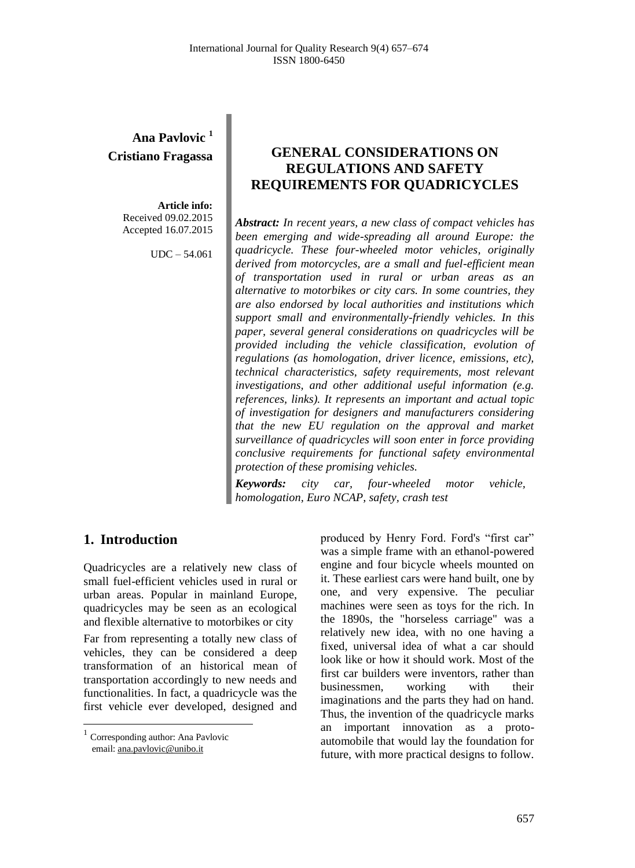# **Ana Pavlovic <sup>1</sup> Cristiano Fragassa**

**Article info:** Received 09.02.2015 Accepted 16.07.2015

UDC – 54.061

# **GENERAL CONSIDERATIONS ON REGULATIONS AND SAFETY REQUIREMENTS FOR QUADRICYCLES**

*Abstract: In recent years, a new class of compact vehicles has been emerging and wide-spreading all around Europe: the quadricycle. These four-wheeled motor vehicles, originally derived from motorcycles, are a small and fuel-efficient mean of transportation used in rural or urban areas as an alternative to motorbikes or city cars. In some countries, they are also endorsed by local authorities and institutions which support small and environmentally-friendly vehicles. In this paper, several general considerations on quadricycles will be provided including the vehicle classification, evolution of regulations (as homologation, driver licence, emissions, etc), technical characteristics, safety requirements, most relevant investigations, and other additional useful information (e.g. references, links). It represents an important and actual topic of investigation for designers and manufacturers considering that the new EU regulation on the approval and market surveillance of quadricycles will soon enter in force providing conclusive requirements for functional safety environmental protection of these promising vehicles.*

*Keywords: city car, four-wheeled motor vehicle, homologation, Euro NCAP, safety, crash test*

### **1. Introduction<sup>1</sup>**

Quadricycles are a relatively new class of small fuel-efficient vehicles used in rural or urban areas. Popular in mainland Europe, quadricycles may be seen as an ecological and flexible alternative to motorbikes or city

Far from representing a totally new class of vehicles, they can be considered a deep transformation of an historical mean of transportation accordingly to new needs and functionalities. In fact, a quadricycle was the first vehicle ever developed, designed and

 $\overline{a}$ 

produced by Henry Ford. Ford's "first car" was a simple frame with an ethanol-powered engine and four bicycle wheels mounted on it. These earliest cars were hand built, one by one, and very expensive. The peculiar machines were seen as toys for the rich. In the 1890s, the "horseless carriage" was a relatively new idea, with no one having a fixed, universal idea of what a car should look like or how it should work. Most of the first car builders were inventors, rather than businessmen, working with their imaginations and the parts they had on hand. Thus, the invention of the quadricycle marks an important innovation as a protoautomobile that would lay the foundation for future, with more practical designs to follow.

<sup>&</sup>lt;sup>1</sup> Corresponding author: Ana Pavlovic email[: ana.pavlovic@unibo.it](mailto:ana.pavlovic@unibo.it)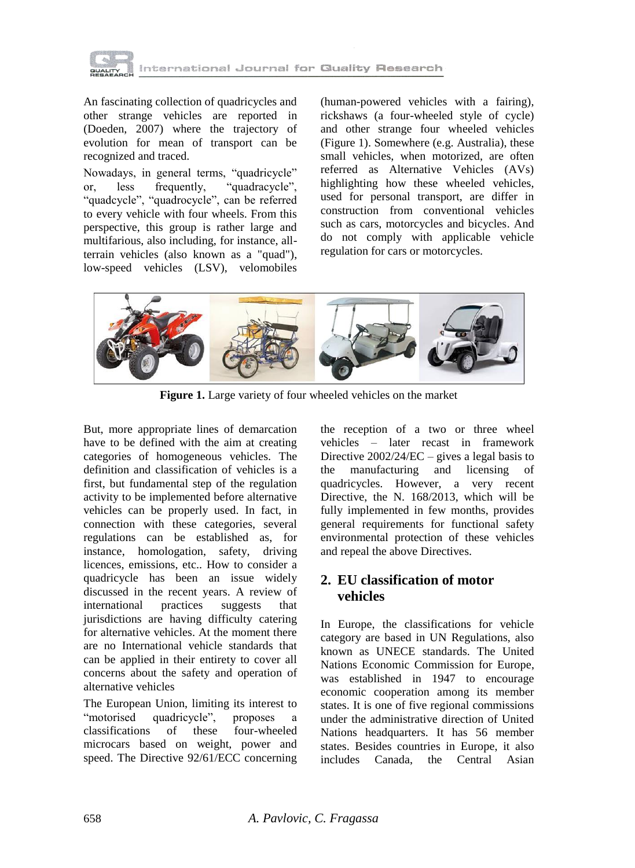

An fascinating collection of quadricycles and other strange vehicles are reported in (Doeden, 2007) where the trajectory of evolution for mean of transport can be recognized and traced*.*

Nowadays, in general terms, "quadricycle"<br>or, less frequently, "quadracycle", or, less frequently, "quadracycle", "quadcycle", "quadrocycle", can be referred to every vehicle with four wheels. From this perspective, this group is rather large and multifarious, also including, for instance, allterrain vehicles (also known as a "quad"), low-speed vehicles (LSV), velomobiles (human-powered vehicles with a fairing), rickshaws (a four-wheeled style of cycle) and other strange four wheeled vehicles (Figure 1). Somewhere (e.g. Australia), these small vehicles, when motorized, are often referred as Alternative Vehicles (AVs) highlighting how these wheeled vehicles, used for personal transport, are differ in construction from conventional vehicles such as cars, motorcycles and bicycles. And do not comply with applicable vehicle regulation for cars or motorcycles.



**Figure 1.** Large variety of four wheeled vehicles on the market

But, more appropriate lines of demarcation have to be defined with the aim at creating categories of homogeneous vehicles. The definition and classification of vehicles is a first, but fundamental step of the regulation activity to be implemented before alternative vehicles can be properly used. In fact, in connection with these categories, several regulations can be established as, for instance, homologation, safety, driving licences, emissions, etc.. How to consider a quadricycle has been an issue widely discussed in the recent years. A review of international practices suggests that jurisdictions are having difficulty catering for alternative vehicles. At the moment there are no International vehicle standards that can be applied in their entirety to cover all concerns about the safety and operation of alternative vehicles

The European Union, limiting its interest to "motorised quadricycle", proposes classifications of these four-wheeled [microcars](http://en.wikipedia.org/wiki/Microcar) based on weight, power and speed. The Directive 92/61/ECC concerning the reception of a two or three wheel vehicles – later recast in framework Directive 2002/24/EC – gives a legal basis to the manufacturing and licensing of quadricycles. However, a very recent Directive, the N. 168/2013, which will be fully implemented in few months, provides general requirements for functional safety environmental protection of these vehicles and repeal the above Directives.

# **2. EU classification of motor vehicles**

In Europe, the classifications for vehicle category are based in UN Regulations, also known as UNECE standards. The [United](http://en.wikipedia.org/wiki/United_Nations)  [Nations](http://en.wikipedia.org/wiki/United_Nations) Economic Commission for [Europe,](http://en.wikipedia.org/wiki/Europe) was established in 1947 to encourage economic cooperation among its member states. It is one of five regional commissions under the administrative direction of United Nations headquarters. It has 56 member states. Besides countries in Europe, it also includes Canada, the Central Asian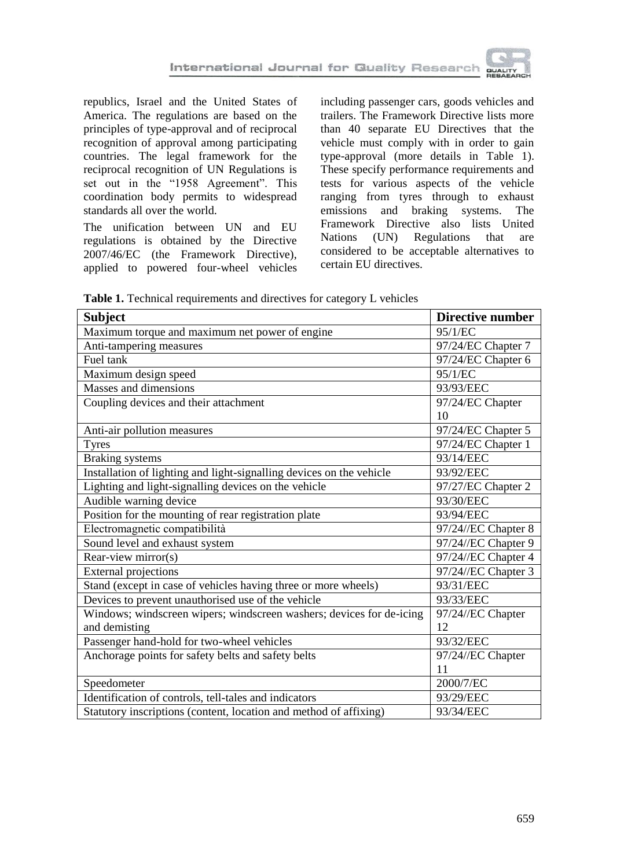

republics, Israel and the United States of America. The regulations are based on the principles of type-approval and of reciprocal recognition of approval among participating countries. The legal framework for the reciprocal recognition of UN Regulations is set out in the "1958 Agreement". This coordination body permits to widespread standards all over the world.

The unification between UN and EU regulations is obtained by the Directive 2007/46/EC (the Framework Directive), applied to powered four-wheel vehicles including passenger cars, goods vehicles and trailers. The Framework Directive lists more than 40 separate EU Directives that the vehicle must comply with in order to gain type-approval (more details in Table 1). These specify performance requirements and tests for various aspects of the vehicle ranging from tyres through to exhaust emissions and braking systems. The Framework Directive also lists United<br>Nations (UN) Regulations that are Nations (UN) Regulations that are considered to be acceptable alternatives to certain EU directives.

| Table 1. Technical requirements and directives for category L vehicles |  |
|------------------------------------------------------------------------|--|
|------------------------------------------------------------------------|--|

| <b>Subject</b>                                                       | <b>Directive number</b> |
|----------------------------------------------------------------------|-------------------------|
| Maximum torque and maximum net power of engine                       | 95/1/EC                 |
| Anti-tampering measures                                              | 97/24/EC Chapter 7      |
| Fuel tank                                                            | 97/24/EC Chapter 6      |
| Maximum design speed                                                 | 95/1/EC                 |
| Masses and dimensions                                                | 93/93/EEC               |
| Coupling devices and their attachment                                | 97/24/EC Chapter        |
|                                                                      | 10                      |
| Anti-air pollution measures                                          | 97/24/EC Chapter 5      |
| <b>Tyres</b>                                                         | 97/24/EC Chapter 1      |
| <b>Braking</b> systems                                               | 93/14/EEC               |
| Installation of lighting and light-signalling devices on the vehicle | 93/92/EEC               |
| Lighting and light-signalling devices on the vehicle                 | 97/27/EC Chapter 2      |
| Audible warning device                                               | 93/30/EEC               |
| Position for the mounting of rear registration plate                 | 93/94/EEC               |
| Electromagnetic compatibilità                                        | 97/24//EC Chapter 8     |
| Sound level and exhaust system                                       | 97/24//EC Chapter 9     |
| Rear-view mirror(s)                                                  | 97/24//EC Chapter 4     |
| <b>External projections</b>                                          | 97/24//EC Chapter 3     |
| Stand (except in case of vehicles having three or more wheels)       | 93/31/EEC               |
| Devices to prevent unauthorised use of the vehicle                   | 93/33/EEC               |
| Windows; windscreen wipers; windscreen washers; devices for de-icing | 97/24//EC Chapter       |
| and demisting                                                        | 12                      |
| Passenger hand-hold for two-wheel vehicles                           | 93/32/EEC               |
| Anchorage points for safety belts and safety belts                   | 97/24//EC Chapter       |
|                                                                      | 11                      |
| Speedometer                                                          | 2000/7/EC               |
| Identification of controls, tell-tales and indicators                | 93/29/EEC               |
| Statutory inscriptions (content, location and method of affixing)    | 93/34/EEC               |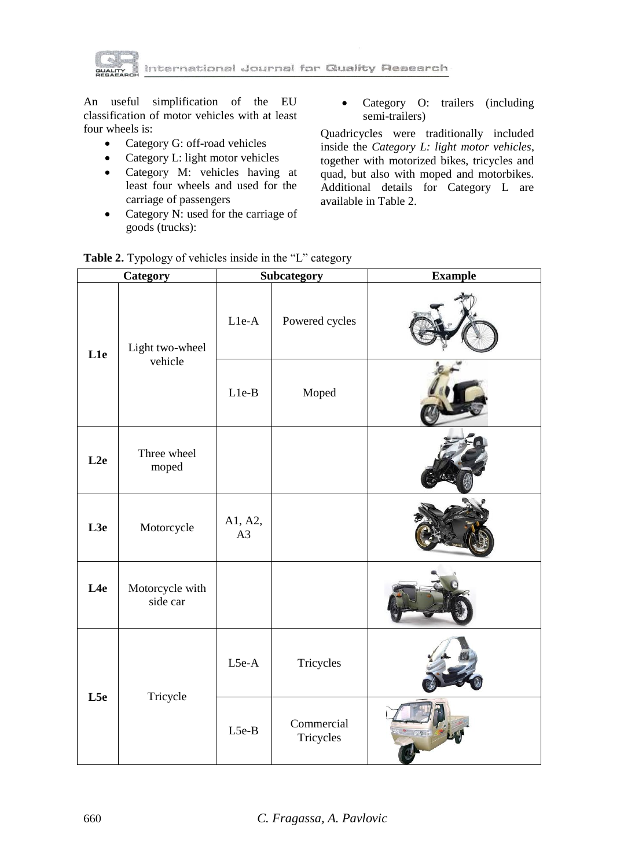

nternational Journal for Guallty Research

An useful simplification of the EU classification of motor vehicles with at least four wheels is:

- Category G: off-road vehicles
- Category L: light motor vehicles
- Category M: vehicles having at least four wheels and used for the carriage of passengers
- Category N: used for the carriage of goods (trucks):

• Category O: trailers (including semi-trailers)

Quadricycles were traditionally included inside the *Category L: light motor vehicles*, together with motorized bikes, tricycles and quad, but also with moped and motorbikes. Additional details for Category L are available in Table 2.

| Table 2. Typology of vehicles inside in the "L" category |  |  |  |
|----------------------------------------------------------|--|--|--|
|----------------------------------------------------------|--|--|--|

|                 | Category                    |               | Subcategory             | <b>Example</b> |
|-----------------|-----------------------------|---------------|-------------------------|----------------|
| L <sub>1e</sub> | Light two-wheel             | L1e-A         | Powered cycles          |                |
|                 | vehicle                     | $L1e-B$       | Moped                   |                |
| L2e             | Three wheel<br>moped        |               |                         |                |
| L3e             | Motorcycle                  | A1, A2,<br>A3 |                         |                |
| L <sub>4e</sub> | Motorcycle with<br>side car |               |                         |                |
| L5e             | Tricycle                    | L5e-A         | Tricycles               |                |
|                 |                             | L5e-B         | Commercial<br>Tricycles |                |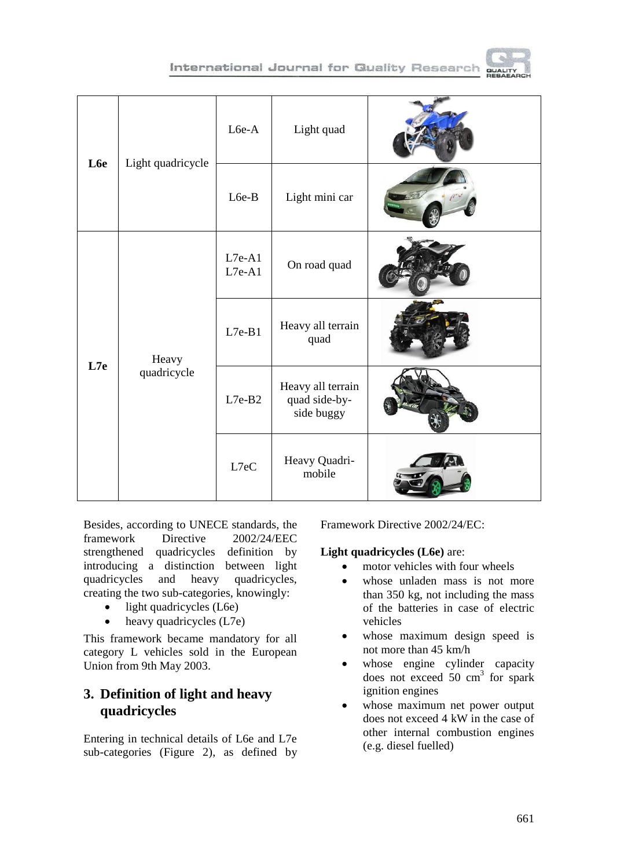



| L6e | Light quadricycle    | L6e-A                | Light quad                                       |  |
|-----|----------------------|----------------------|--------------------------------------------------|--|
|     |                      | L6e-B                | Light mini car                                   |  |
| L7e | Heavy<br>quadricycle | $L7e-A1$<br>$L7e-A1$ | On road quad                                     |  |
|     |                      | $L7e-B1$             | Heavy all terrain<br>quad                        |  |
|     |                      | $L7e-B2$             | Heavy all terrain<br>quad side-by-<br>side buggy |  |
|     |                      | L7eC                 | Heavy Quadri-<br>mobile                          |  |

Besides, according to UNECE standards, the framework Directive 2002/24/EEC strengthened quadricycles definition by introducing a distinction between light quadricycles and heavy quadricycles, creating the two sub-categories, knowingly:

- $\bullet$  light quadricycles (L6e)
- heavy quadricycles (L7e)

This framework became mandatory for all category L vehicles sold in the European Union from 9th May 2003.

# **3. Definition of light and heavy quadricycles**

Entering in technical details of L6e and L7e sub-categories (Figure 2), as defined by Framework Directive 2002/24/EC:

#### **Light quadricycles (L6e)** are:

- motor vehicles with four wheels
- whose unladen mass is not more than 350 kg, not including the mass of the batteries in case of [electric](http://en.wikipedia.org/wiki/Electric_vehicle)  [vehicles](http://en.wikipedia.org/wiki/Electric_vehicle)
- whose maximum design speed is not more than 45 km/h
- whose [engine cylinder](http://en.wikipedia.org/wiki/Cylinder_%28engine%29) capacity does not exceed  $50 \text{ cm}^3$  for spark ignition engines
- whose maximum net power output does not exceed 4 kW in the case of other [internal combustion engines](http://en.wikipedia.org/wiki/Internal_combustion_engine) (e.g. diesel fuelled)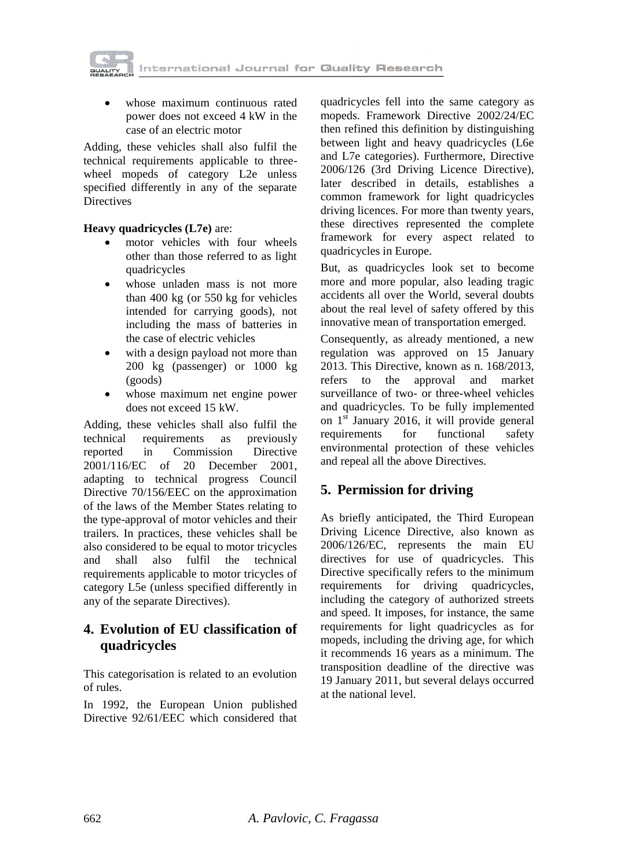

 whose maximum continuous rated power does not exceed 4 kW in the case of an [electric motor](http://en.wikipedia.org/wiki/Electric_motor)

Adding, these vehicles shall also fulfil the technical requirements applicable to threewheel mopeds of category L2e unless specified differently in any of the separate **Directives** 

#### **Heavy quadricycles (L7e)** are:

- [motor vehicles](http://en.wikipedia.org/wiki/Motor_vehicle) with four wheels other than those referred to as light quadricycles
- whose unladen mass is not more than 400 kg (or 550 kg for vehicles intended for carrying goods), not including the mass of batteries in the case of electric vehicles
- with a design payload not more than 200 kg (passenger) or 1000 kg (goods)
- whose maximum net engine power does not exceed 15 kW.

Adding, these vehicles shall also fulfil the technical requirements as previously reported in Commission Directive 2001/116/EC of 20 December 2001, adapting to technical progress Council Directive 70/156/EEC on the approximation of the laws of the Member States relating to the type-approval of motor vehicles and their trailers. In practices, these vehicles shall be also considered to be equal to motor tricycles and shall also fulfil the technical requirements applicable to motor tricycles of category L5e (unless specified differently in any of the separate Directives).

# **4. Evolution of EU classification of quadricycles**

This categorisation is related to an evolution of rules.

In 1992, [the European Union](http://en.wikipedia.org/wiki/European_Union) published Directive 92/61/EEC which considered that

quadricycles fell into the same category as mopeds. Framework Directive 2002/24/EC then refined this definition by distinguishing between light and heavy quadricycles (L6e and L7e categories). Furthermore, Directive 2006/126 (3rd [Driving Licence](http://en.wikipedia.org/wiki/Driver%27s_license) Directive), later described in details, establishes a common framework for light quadricycles driving licences. For more than twenty years, these directives represented the complete framework for every aspect related to quadricycles in Europe.

But, as quadricycles look set to become more and more popular, also leading tragic accidents all over the World, several doubts about the real level of safety offered by this innovative mean of transportation emerged.

Consequently, as already mentioned, a new regulation was approved on 15 January 2013. This Directive, known as n. 168/2013, refers to the approval and market surveillance of two- or three-wheel vehicles and quadricycles. To be fully implemented on  $1<sup>st</sup>$  January 2016, it will provide general requirements for functional safety environmental protection of these vehicles and repeal all the above Directives.

### **5. Permission for driving**

As briefly anticipated, the Third European Driving Licence Directive, also known as 2006/126/EC, represents the main EU directives for use of quadricycles. This Directive specifically refers to the minimum requirements for driving quadricycles, including the category of authorized streets and speed. It imposes, for instance, the same requirements for light quadricycles as for mopeds, including the driving age, for which it recommends 16 years as a minimum. The transposition deadline of the directive was 19 January 2011, but several delays occurred at the national level.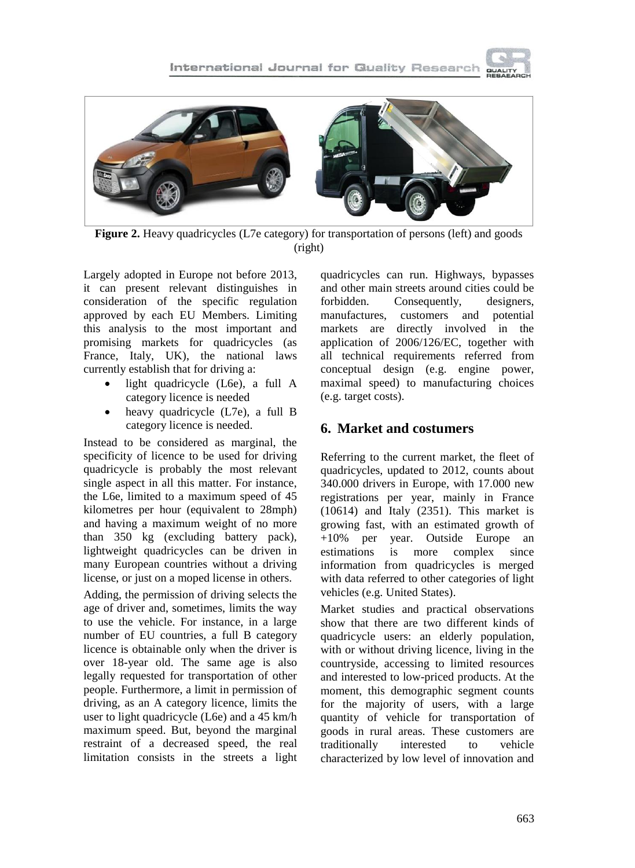



**Figure 2.** Heavy quadricycles (L7e category) for transportation of persons (left) and goods (right)

Largely adopted in Europe not before 2013, it can present relevant distinguishes in consideration of the specific regulation approved by each EU Members. Limiting this analysis to the most important and promising markets for quadricycles (as France, Italy, UK), the national laws currently establish that for driving a:

- light quadricycle (L6e), a full A category licence is needed
- heavy quadricycle (L7e), a full B category licence is needed.

Instead to be considered as marginal, the specificity of licence to be used for driving quadricycle is probably the most relevant single aspect in all this matter. For instance, the L6e, limited to a maximum speed of 45 kilometres per hour (equivalent to 28mph) and having a maximum weight of no more than 350 kg (excluding battery pack), lightweight quadricycles can be driven in many European countries without a driving license, or just on a moped license in others.

Adding, the permission of driving selects the age of driver and, sometimes, limits the way to use the vehicle. For instance, in a large number of EU countries, a full B category licence is obtainable only when the driver is over 18-year old. The same age is also legally requested for transportation of other people. Furthermore, a limit in permission of driving, as an A category licence, limits the user to light quadricycle (L6e) and a 45 km/h maximum speed. But, beyond the marginal restraint of a decreased speed, the real limitation consists in the streets a light quadricycles can run. Highways, bypasses and other main streets around cities could be forbidden. Consequently, designers, manufactures, customers and potential markets are directly involved in the application of 2006/126/EC, together with all technical requirements referred from conceptual design (e.g. engine power, maximal speed) to manufacturing choices (e.g. target costs).

### **6. Market and costumers**

Referring to the current market, the fleet of quadricycles, updated to 2012, counts about 340.000 drivers in Europe, with 17.000 new registrations per year, mainly in France (10614) and Italy (2351). This market is growing fast, with an estimated growth of +10% per year. Outside Europe an estimations is more complex since information from quadricycles is merged with data referred to other categories of light vehicles (e.g. United States).

Market studies and practical observations show that there are two different kinds of quadricycle users: an elderly population, with or without driving licence, living in the countryside, accessing to limited resources and interested to low-priced products. At the moment, this demographic segment counts for the majority of users, with a large quantity of vehicle for transportation of goods in rural areas. These customers are traditionally interested to vehicle characterized by low level of innovation and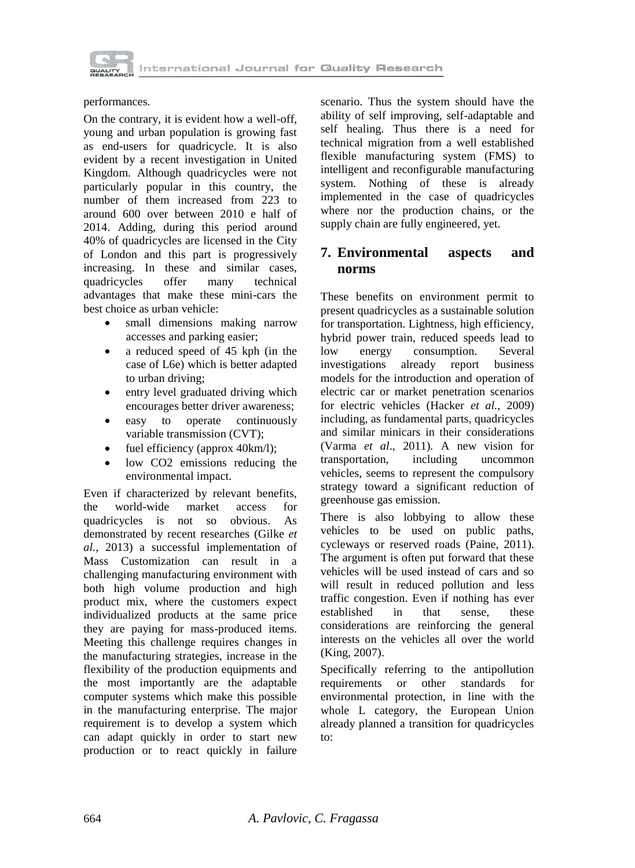

performances.

On the contrary, it is evident how a well-off, young and urban population is growing fast as end-users for quadricycle. It is also evident by a recent investigation in United Kingdom. Although quadricycles were not particularly popular in this country, the number of them increased from 223 to around 600 over between 2010 e half of 2014. Adding, during this period around 40% of quadricycles are licensed in the City of London and this part is progressively increasing. In these and similar cases, quadricycles offer many technical advantages that make these mini-cars the best choice as urban vehicle:

- small dimensions making narrow accesses and parking easier;
- a reduced speed of 45 kph (in the case of L6e) which is better adapted to urban driving;
- entry level graduated driving which encourages better driver awareness;
- easy to operate continuously variable transmission (CVT);
- fuel efficiency (approx 40km/l);
- low CO2 emissions reducing the environmental impact.

Even if characterized by relevant benefits, the world-wide market access for quadricycles is not so obvious. As demonstrated by recent researches (Gilke *et al.,* 2013) a successful implementation of Mass Customization can result in a challenging manufacturing environment with both high volume production and high product mix, where the customers expect individualized products at the same price they are paying for mass-produced items. Meeting this challenge requires changes in the manufacturing strategies, increase in the flexibility of the production equipments and the most importantly are the adaptable computer systems which make this possible in the manufacturing enterprise. The major requirement is to develop a system which can adapt quickly in order to start new production or to react quickly in failure

scenario. Thus the system should have the ability of self improving, self-adaptable and self healing. Thus there is a need for technical migration from a well established flexible manufacturing system (FMS) to intelligent and reconfigurable manufacturing system. Nothing of these is already implemented in the case of quadricycles where nor the production chains, or the supply chain are fully engineered, yet.

# **7. Environmental aspects and norms**

These benefits on environment permit to present quadricycles as a sustainable solution for transportation. Lightness, high efficiency, hybrid power train, reduced speeds lead to low energy consumption. Several investigations already report business models for the introduction and operation of electric car or market penetration scenarios for electric vehicles (Hacker *et al.*, 2009) including, as fundamental parts, quadricycles and similar minicars in their considerations (Varma *et al*., 2011)*.* A new vision for transportation, including uncommon vehicles, seems to represent the compulsory strategy toward a significant reduction of greenhouse gas emission.

There is also lobbying to allow these vehicles to be used on public paths, cycleways or reserved roads (Paine, 2011). The argument is often put forward that these vehicles will be used instead of cars and so will result in reduced pollution and less traffic congestion. Even if nothing has ever established in that sense, these considerations are reinforcing the general interests on the vehicles all over the world (King, 2007).

Specifically referring to the antipollution requirements or other standards for environmental protection, in line with the whole L category, the European Union already planned a transition for quadricycles to: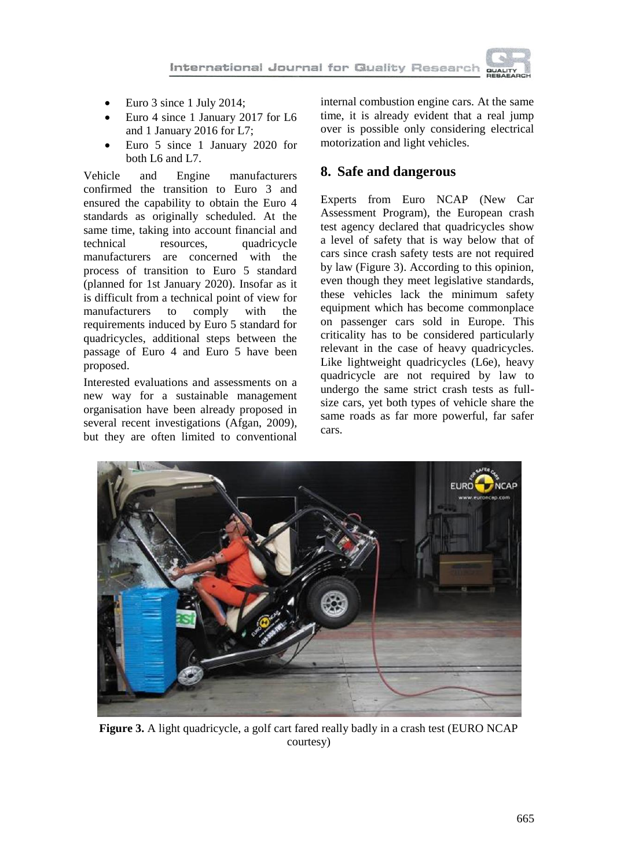

- Euro 3 since 1 July 2014;
- Euro 4 since 1 January 2017 for L6 and 1 January 2016 for L7;
- Euro 5 since 1 January 2020 for both L6 and L7.

Vehicle and Engine manufacturers confirmed the transition to Euro 3 and ensured the capability to obtain the Euro 4 standards as originally scheduled. At the same time, taking into account financial and technical resources, quadricycle manufacturers are concerned with the process of transition to Euro 5 standard (planned for 1st January 2020). Insofar as it is difficult from a technical point of view for manufacturers to comply with the requirements induced by Euro 5 standard for quadricycles, additional steps between the passage of Euro 4 and Euro 5 have been proposed.

Interested evaluations and assessments on a new way for a sustainable management organisation have been already proposed in several recent investigations (Afgan, 2009)*,* but they are often limited to conventional internal combustion engine cars. At the same time, it is already evident that a real jump over is possible only considering electrical motorization and light vehicles.

### **8. Safe and dangerous**

Experts from Euro NCAP (New Car Assessment Program), the European crash test agency declared that quadricycles show a level of safety that is way below that of cars since crash safety tests are not required by law (Figure 3). According to this opinion, even though they meet legislative standards, these vehicles lack the minimum safety equipment which has become commonplace on passenger cars sold in Europe. This criticality has to be considered particularly relevant in the case of heavy quadricycles. Like lightweight quadricycles (L6e), heavy quadricycle are not required by law to undergo the same strict crash tests as fullsize cars, yet both types of vehicle share the same roads as far more powerful, far safer cars.



**Figure 3.** A light quadricycle, a golf cart fared really badly in a crash test (EURO NCAP courtesy)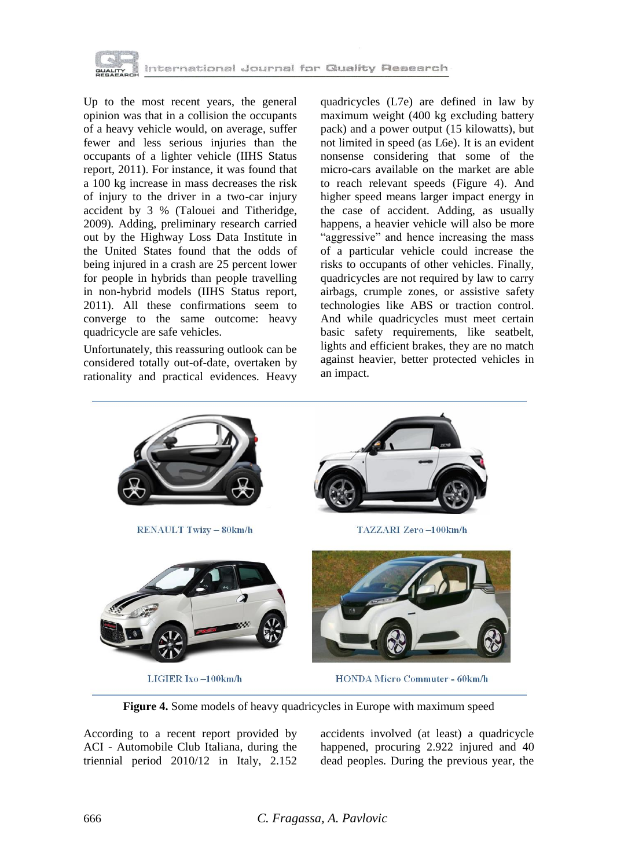

Up to the most recent years, the general opinion was that in a collision the occupants of a heavy vehicle would, on average, suffer fewer and less serious injuries than the occupants of a lighter vehicle (IIHS Status report, 2011). For instance, it was found that a 100 kg increase in mass decreases the risk of injury to the driver in a two-car injury accident by 3 % (Talouei and Titheridge, 2009)*.* Adding, preliminary research carried out by the Highway Loss Data Institute in the United States found that the odds of being injured in a crash are 25 percent lower for people in hybrids than people travelling in non-hybrid models (IIHS Status report, 2011). All these confirmations seem to converge to the same outcome: heavy quadricycle are safe vehicles.

Unfortunately, this reassuring outlook can be considered totally out-of-date, overtaken by rationality and practical evidences. Heavy

quadricycles (L7e) are defined in law by maximum weight (400 kg excluding battery pack) and a power output (15 kilowatts), but not limited in speed (as L6e). It is an evident nonsense considering that some of the micro-cars available on the market are able to reach relevant speeds (Figure 4). And higher speed means larger impact energy in the case of accident. Adding, as usually happens, a heavier vehicle will also be more "aggressive" and hence increasing the mass of a particular vehicle could increase the risks to occupants of other vehicles. Finally, quadricycles are not required by law to carry airbags, crumple zones, or assistive safety technologies like ABS or traction control. And while quadricycles must meet certain basic safety requirements, like seatbelt, lights and efficient brakes, they are no match against heavier, better protected vehicles in an impact.



**Figure 4.** Some models of heavy quadricycles in Europe with maximum speed

According to a recent report provided by ACI - Automobile Club Italiana, during the triennial period 2010/12 in Italy, 2.152 accidents involved (at least) a quadricycle happened, procuring 2.922 injured and 40 dead peoples. During the previous year, the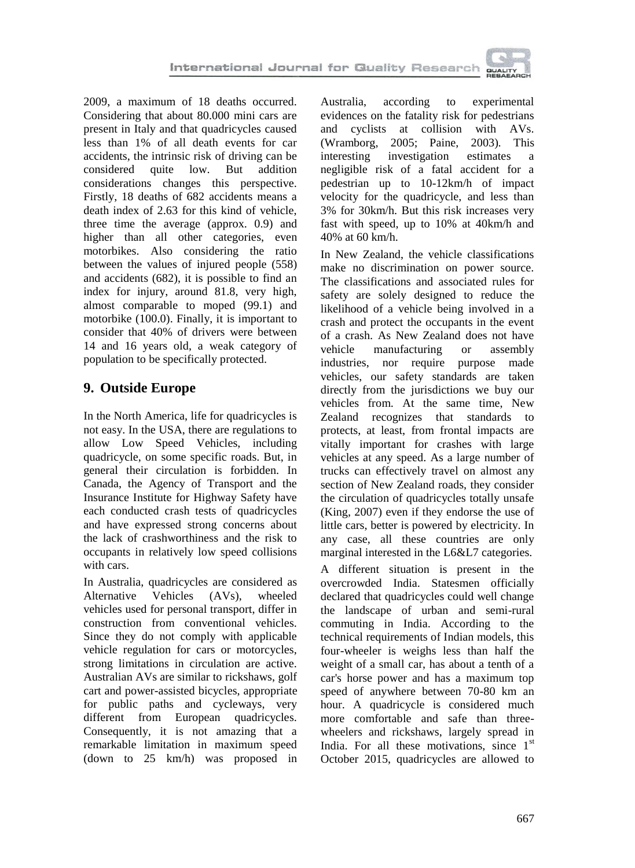

2009, a maximum of 18 deaths occurred. Considering that about 80.000 mini cars are present in Italy and that quadricycles caused less than 1% of all death events for car accidents, the intrinsic risk of driving can be considered quite low. But addition considerations changes this perspective. Firstly, 18 deaths of 682 accidents means a death index of 2.63 for this kind of vehicle, three time the average (approx. 0.9) and higher than all other categories, even motorbikes. Also considering the ratio between the values of injured people (558) and accidents (682), it is possible to find an index for injury, around 81.8, very high, almost comparable to moped (99.1) and motorbike (100.0). Finally, it is important to consider that 40% of drivers were between 14 and 16 years old, a weak category of population to be specifically protected.

# **9. Outside Europe**

In the North America, life for quadricycles is not easy. In the USA, there are regulations to allow Low Speed Vehicles, including quadricycle, on some specific roads. But, in general their circulation is forbidden. In Canada, the Agency of Transport and the Insurance Institute for Highway Safety have each conducted crash tests of quadricycles and have expressed strong concerns about the lack of crashworthiness and the risk to occupants in relatively low speed collisions with cars.

In Australia, quadricycles are considered as Alternative Vehicles (AVs), wheeled vehicles used for personal transport, differ in construction from conventional vehicles. Since they do not comply with applicable vehicle regulation for cars or motorcycles, strong limitations in circulation are active. Australian AVs are similar to rickshaws, golf cart and power-assisted bicycles, appropriate for public paths and cycleways, very different from European quadricycles. Consequently, it is not amazing that a remarkable limitation in maximum speed (down to 25 km/h) was proposed in

Australia, according to experimental evidences on the fatality risk for pedestrians and cyclists at collision with AVs. (Wramborg, 2005; Paine, 2003)*.* This interesting investigation estimates a negligible risk of a fatal accident for a pedestrian up to 10-12km/h of impact velocity for the quadricycle, and less than 3% for 30km/h. But this risk increases very fast with speed, up to 10% at 40km/h and 40% at 60 km/h.

In New Zealand, the vehicle classifications make no discrimination on power source. The classifications and associated rules for safety are solely designed to reduce the likelihood of a vehicle being involved in a crash and protect the occupants in the event of a crash. As New Zealand does not have vehicle manufacturing or assembly industries, nor require purpose made vehicles, our safety standards are taken directly from the jurisdictions we buy our vehicles from. At the same time, New Zealand recognizes that standards to protects, at least, from frontal impacts are vitally important for crashes with large vehicles at any speed. As a large number of trucks can effectively travel on almost any section of New Zealand roads, they consider the circulation of quadricycles totally unsafe (King, 2007) even if they endorse the use of little cars, better is powered by electricity. In any case, all these countries are only marginal interested in the L6&L7 categories.

A different situation is present in the overcrowded India. Statesmen officially declared that quadricycles could well change the landscape of urban and semi-rural commuting in India. According to the technical requirements of Indian models, this four-wheeler is weighs less than half the weight of a small car, has about a tenth of a car's horse power and has a maximum top speed of anywhere between 70-80 km an hour. A quadricycle is considered much more comfortable and safe than threewheelers and rickshaws, largely spread in India. For all these motivations, since 1<sup>st</sup> October 2015, quadricycles are allowed to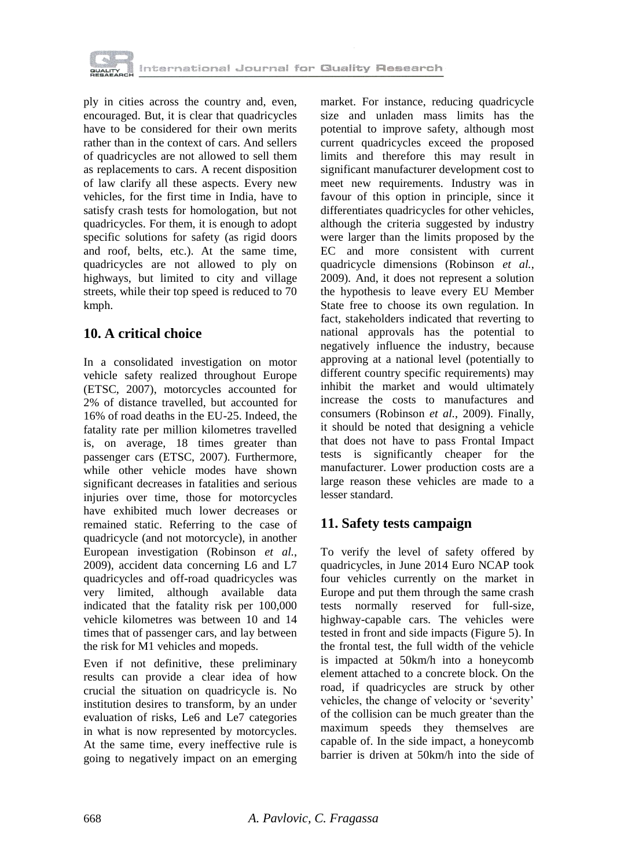

ply in cities across the country and, even, encouraged. But, it is clear that quadricycles have to be considered for their own merits rather than in the context of cars. And sellers of quadricycles are not allowed to sell them as replacements to cars. A recent disposition of law clarify all these aspects. Every new vehicles, for the first time in India, have to satisfy crash tests for homologation, but not quadricycles. For them, it is enough to adopt specific solutions for safety (as rigid doors and roof, belts, etc.). At the same time, quadricycles are not allowed to ply on highways, but limited to city and village streets, while their top speed is reduced to 70 kmph.

# **10. A critical choice**

In a consolidated investigation on motor vehicle safety realized throughout Europe (ETSC, 2007), motorcycles accounted for 2% of distance travelled, but accounted for 16% of road deaths in the EU-25. Indeed, the fatality rate per million kilometres travelled is, on average, 18 times greater than passenger cars (ETSC, 2007). Furthermore, while other vehicle modes have shown significant decreases in fatalities and serious injuries over time, those for motorcycles have exhibited much lower decreases or remained static. Referring to the case of quadricycle (and not motorcycle), in another European investigation (Robinson *et al.*, 2009), accident data concerning L6 and L7 quadricycles and off-road quadricycles was very limited, although available data indicated that the fatality risk per 100,000 vehicle kilometres was between 10 and 14 times that of passenger cars, and lay between the risk for M1 vehicles and mopeds.

Even if not definitive, these preliminary results can provide a clear idea of how crucial the situation on quadricycle is. No institution desires to transform, by an under evaluation of risks, Le6 and Le7 categories in what is now represented by motorcycles. At the same time, every ineffective rule is going to negatively impact on an emerging market. For instance, reducing quadricycle size and unladen mass limits has the potential to improve safety, although most current quadricycles exceed the proposed limits and therefore this may result in significant manufacturer development cost to meet new requirements. Industry was in favour of this option in principle, since it differentiates quadricycles for other vehicles, although the criteria suggested by industry were larger than the limits proposed by the EC and more consistent with current quadricycle dimensions (Robinson *et al.*, 2009)*.* And, it does not represent a solution the hypothesis to leave every EU Member State free to choose its own regulation. In fact*,* stakeholders indicated that reverting to national approvals has the potential to negatively influence the industry, because approving at a national level (potentially to different country specific requirements) may inhibit the market and would ultimately increase the costs to manufactures and consumers (Robinson *et al.*, 2009). Finally, it should be noted that designing a vehicle that does not have to pass Frontal Impact tests is significantly cheaper for the manufacturer. Lower production costs are a large reason these vehicles are made to a lesser standard.

### **11. Safety tests campaign**

To verify the level of safety offered by quadricycles, in June 2014 Euro NCAP took four vehicles currently on the market in Europe and put them through the same crash tests normally reserved for full-size, highway-capable cars. The vehicles were tested in front and side impacts (Figure 5). In the frontal test, the full width of the vehicle is impacted at 50km/h into a honeycomb element attached to a concrete block. On the road, if quadricycles are struck by other vehicles, the change of velocity or "severity" of the collision can be much greater than the maximum speeds they themselves are capable of. In the side impact, a honeycomb barrier is driven at 50km/h into the side of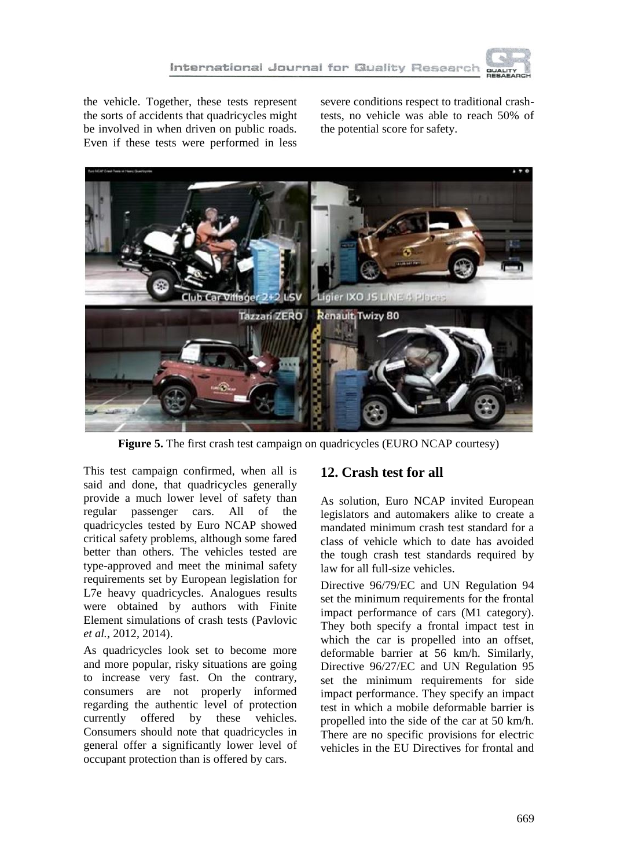

the vehicle. Together, these tests represent the sorts of accidents that quadricycles might be involved in when driven on public roads. Even if these tests were performed in less

severe conditions respect to traditional crashtests, no vehicle was able to reach 50% of the potential score for safety.



**Figure 5.** The first crash test campaign on quadricycles (EURO NCAP courtesy)

This test campaign confirmed, when all is said and done, that quadricycles generally provide a much lower level of safety than regular passenger cars. All of the quadricycles tested by Euro NCAP showed critical safety problems, although some fared better than others. The vehicles tested are type-approved and meet the minimal safety requirements set by European legislation for L7e heavy quadricycles. Analogues results were obtained by authors with Finite Element simulations of crash tests (Pavlovic *et al.*, 2012, 2014).

As quadricycles look set to become more and more popular, risky situations are going to increase very fast. On the contrary, consumers are not properly informed regarding the authentic level of protection currently offered by these vehicles. Consumers should note that quadricycles in general offer a significantly lower level of occupant protection than is offered by cars.

# **12. Crash test for all**

As solution, Euro NCAP invited European legislators and automakers alike to create a mandated minimum crash test standard for a class of vehicle which to date has avoided the tough crash test standards required by law for all full-size vehicles.

Directive 96/79/EC and UN Regulation 94 set the minimum requirements for the frontal impact performance of cars (M1 category). They both specify a frontal impact test in which the car is propelled into an offset, deformable barrier at 56 km/h. Similarly, Directive 96/27/EC and UN Regulation 95 set the minimum requirements for side impact performance. They specify an impact test in which a mobile deformable barrier is propelled into the side of the car at 50 km/h. There are no specific provisions for electric vehicles in the EU Directives for frontal and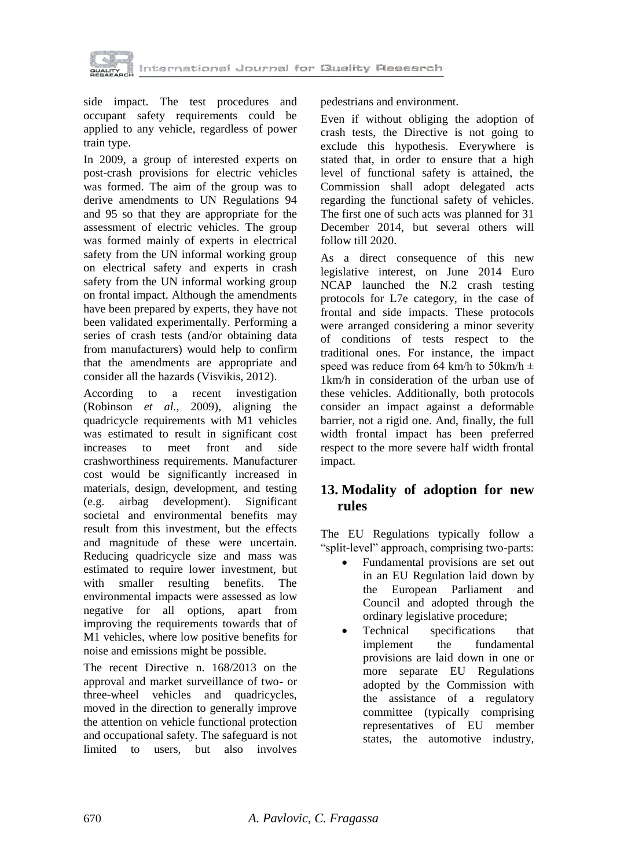

side impact. The test procedures and occupant safety requirements could be applied to any vehicle, regardless of power train type.

In 2009, a group of interested experts on post-crash provisions for electric vehicles was formed. The aim of the group was to derive amendments to UN Regulations 94 and 95 so that they are appropriate for the assessment of electric vehicles. The group was formed mainly of experts in electrical safety from the UN informal working group on electrical safety and experts in crash safety from the UN informal working group on frontal impact. Although the amendments have been prepared by experts, they have not been validated experimentally. Performing a series of crash tests (and/or obtaining data from manufacturers) would help to confirm that the amendments are appropriate and consider all the hazards (Visvikis, 2012).

According to a recent investigation (Robinson *et al.*, 2009)*,* aligning the quadricycle requirements with M1 vehicles was estimated to result in significant cost increases to meet front and side crashworthiness requirements. Manufacturer cost would be significantly increased in materials, design, development, and testing (e.g. airbag development). Significant societal and environmental benefits may result from this investment, but the effects and magnitude of these were uncertain. Reducing quadricycle size and mass was estimated to require lower investment, but with smaller resulting benefits. The environmental impacts were assessed as low negative for all options, apart from improving the requirements towards that of M1 vehicles, where low positive benefits for noise and emissions might be possible.

The recent Directive n. 168/2013 on the approval and market surveillance of two- or three-wheel vehicles and quadricycles, moved in the direction to generally improve the attention on vehicle functional protection and occupational safety. The safeguard is not limited to users, but also involves

pedestrians and environment.

Even if without obliging the adoption of crash tests, the Directive is not going to exclude this hypothesis. Everywhere is stated that, in order to ensure that a high level of functional safety is attained, the Commission shall adopt delegated acts regarding the functional safety of vehicles. The first one of such acts was planned for 31 December 2014, but several others will follow till 2020.

As a direct consequence of this new legislative interest, on June 2014 Euro NCAP launched the N.2 crash testing protocols for L7e category, in the case of frontal and side impacts. These protocols were arranged considering a minor severity of conditions of tests respect to the traditional ones. For instance, the impact speed was reduce from 64 km/h to 50 km/h  $\pm$ 1km/h in consideration of the urban use of these vehicles. Additionally, both protocols consider an impact against a deformable barrier, not a rigid one. And, finally, the full width frontal impact has been preferred respect to the more severe half width frontal impact.

# **13. Modality of adoption for new rules**

The EU Regulations typically follow a "split-level" approach, comprising two-parts:

- Fundamental provisions are set out in an EU Regulation laid down by the European Parliament and Council and adopted through the ordinary legislative procedure;
- Technical specifications that implement the fundamental provisions are laid down in one or more separate EU Regulations adopted by the Commission with the assistance of a regulatory committee (typically comprising representatives of EU member states, the automotive industry,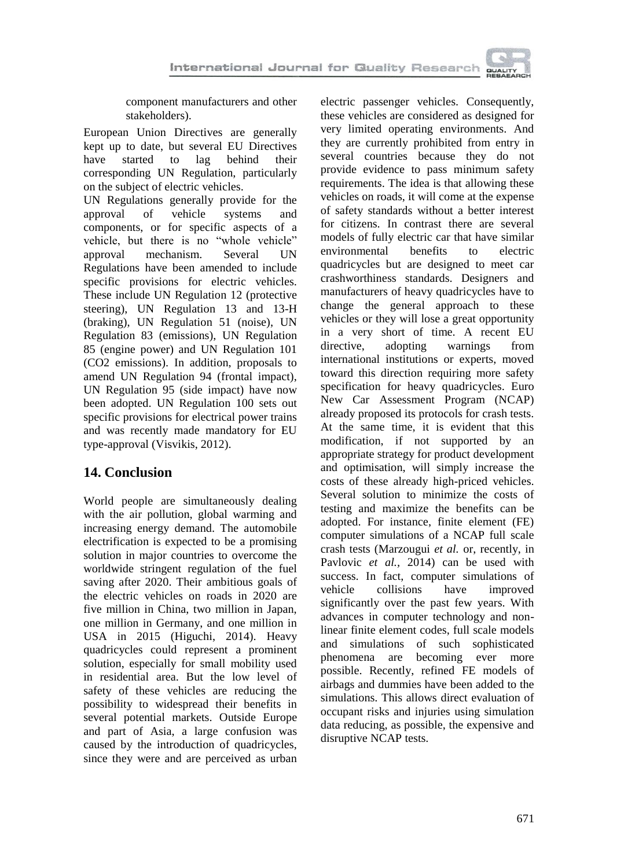component manufacturers and other stakeholders).

European Union Directives are generally kept up to date, but several EU Directives<br>have started to lag behind their have started to lag behind their corresponding UN Regulation, particularly on the subject of electric vehicles.

UN Regulations generally provide for the approval of vehicle systems and components, or for specific aspects of a vehicle, but there is no "whole vehicle" approval mechanism. Several UN Regulations have been amended to include specific provisions for electric vehicles. These include UN Regulation 12 (protective steering), UN Regulation 13 and 13-H (braking), UN Regulation 51 (noise), UN Regulation 83 (emissions), UN Regulation 85 (engine power) and UN Regulation 101 (CO2 emissions). In addition, proposals to amend UN Regulation 94 (frontal impact), UN Regulation 95 (side impact) have now been adopted. UN Regulation 100 sets out specific provisions for electrical power trains and was recently made mandatory for EU type-approval (Visvikis, 2012).

# **14. Conclusion**

World people are simultaneously dealing with the air pollution, global warming and increasing energy demand. The automobile electrification is expected to be a promising solution in major countries to overcome the worldwide stringent regulation of the fuel saving after 2020. Their ambitious goals of the electric vehicles on roads in 2020 are five million in China, two million in Japan, one million in Germany, and one million in USA in 2015 (Higuchi, 2014). Heavy quadricycles could represent a prominent solution, especially for small mobility used in residential area. But the low level of safety of these vehicles are reducing the possibility to widespread their benefits in several potential markets. Outside Europe and part of Asia, a large confusion was caused by the introduction of quadricycles, since they were and are perceived as urban

electric passenger vehicles. Consequently, these vehicles are considered as designed for very limited operating environments. And they are currently prohibited from entry in several countries because they do not provide evidence to pass minimum safety requirements. The idea is that allowing these vehicles on roads, it will come at the expense of safety standards without a better interest for citizens. In contrast there are several models of fully electric car that have similar environmental benefits to electric quadricycles but are designed to meet car crashworthiness standards. Designers and manufacturers of heavy quadricycles have to change the general approach to these vehicles or they will lose a great opportunity in a very short of time. A recent EU directive, adopting warnings from international institutions or experts, moved toward this direction requiring more safety specification for heavy quadricycles. Euro New Car Assessment Program (NCAP) already proposed its protocols for crash tests. At the same time, it is evident that this modification, if not supported by an appropriate strategy for product development and optimisation, will simply increase the costs of these already high-priced vehicles. Several solution to minimize the costs of testing and maximize the benefits can be adopted. For instance, finite element (FE) computer simulations of a NCAP full scale crash tests (Marzougui *et al.* or, recently, in Pavlovic *et al.*, 2014) can be used with success. In fact, computer simulations of vehicle collisions have improved significantly over the past few years. With advances in computer technology and nonlinear finite element codes, full scale models and simulations of such sophisticated phenomena are becoming ever more possible. Recently, refined FE models of airbags and dummies have been added to the simulations. This allows direct evaluation of occupant risks and injuries using simulation data reducing, as possible, the expensive and disruptive NCAP tests.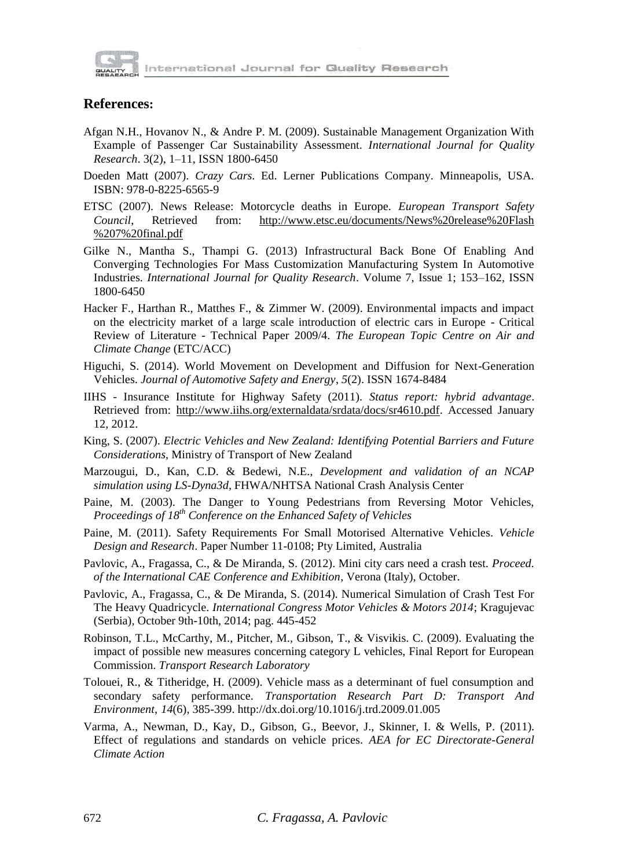

#### **References:**

- Afgan N.H., Hovanov N., & Andre P. M. (2009). Sustainable Management Organization With Example of Passenger Car Sustainability Assessment. *International Journal for Quality Research*. 3(2), 1–11, ISSN 1800-6450
- Doeden Matt (2007). *Crazy Cars*. Ed. Lerner Publications Company. Minneapolis, USA. ISBN: 978-0-8225-6565-9
- ETSC (2007). News Release: Motorcycle deaths in Europe. *European Transport Safety Council*, Retrieved from: [http://www.etsc.eu/documents/News%20release%20Flash](http://www.etsc.eu/documents/News%20release%20Flash%0b%207%20final.pdf) [%207%20final.pdf](http://www.etsc.eu/documents/News%20release%20Flash%0b%207%20final.pdf)
- Gilke N., Mantha S., Thampi G. (2013) Infrastructural Back Bone Of Enabling And Converging Technologies For Mass Customization Manufacturing System In Automotive Industries. *International Journal for Quality Research*. Volume 7, Issue 1; 153–162, ISSN 1800-6450
- Hacker F., Harthan R., Matthes F., & Zimmer W. (2009). Environmental impacts and impact on the electricity market of a large scale introduction of electric cars in Europe - Critical Review of Literature - Technical Paper 2009/4. *The European Topic Centre on Air and Climate Change* (ETC/ACC)
- Higuchi, S. (2014). World Movement on Development and Diffusion for Next-Generation Vehicles. *Journal of Automotive Safety and Energy*, *5*(2). ISSN 1674-8484
- IIHS Insurance Institute for Highway Safety (2011). *Status report: hybrid advantage*. Retrieved from: [http://www.iihs.org/externaldata/srdata/docs/sr4610.pdf.](http://www.iihs.org/externaldata/srdata/docs/sr4610.pdf) Accessed January 12, 2012.
- King, S. (2007). *Electric Vehicles and New Zealand: Identifying Potential Barriers and Future Considerations*, Ministry of Transport of New Zealand
- Marzougui, D., Kan, C.D. & Bedewi, N.E., *Development and validation of an NCAP simulation using LS-Dyna3d*, FHWA/NHTSA National Crash Analysis Center
- Paine, M. (2003). The Danger to Young Pedestrians from Reversing Motor Vehicles, *Proceedings of 18th Conference on the Enhanced Safety of Vehicles*
- Paine, M. (2011). Safety Requirements For Small Motorised Alternative Vehicles. *Vehicle Design and Research*. Paper Number 11-0108; Pty Limited, Australia
- Pavlovic, A., Fragassa, C., & De Miranda, S. (2012). Mini city cars need a crash test. *Proceed. of the International CAE Conference and Exhibition*, Verona (Italy), October.
- Pavlovic, A., Fragassa, C., & De Miranda, S. (2014). Numerical Simulation of Crash Test For The Heavy Quadricycle. *International Congress Motor Vehicles & Motors 2014*; Kragujevac (Serbia), October 9th-10th, 2014; pag. 445-452
- Robinson, T.L., McCarthy, M., Pitcher, M., Gibson, T., & Visvikis. C. (2009). Evaluating the impact of possible new measures concerning category L vehicles, Final Report for European Commission. *Transport Research Laboratory*
- Tolouei, R., & Titheridge, H. (2009). Vehicle mass as a determinant of fuel consumption and secondary safety performance. *Transportation Research Part D: Transport And Environment*, *14*(6), 385-399. http://dx.doi.org/10.1016/j.trd.2009.01.005
- Varma, A., Newman, D., Kay, D., Gibson, G., Beevor, J., Skinner, I. & Wells, P. (2011). Effect of regulations and standards on vehicle prices. *AEA for EC Directorate-General Climate Action*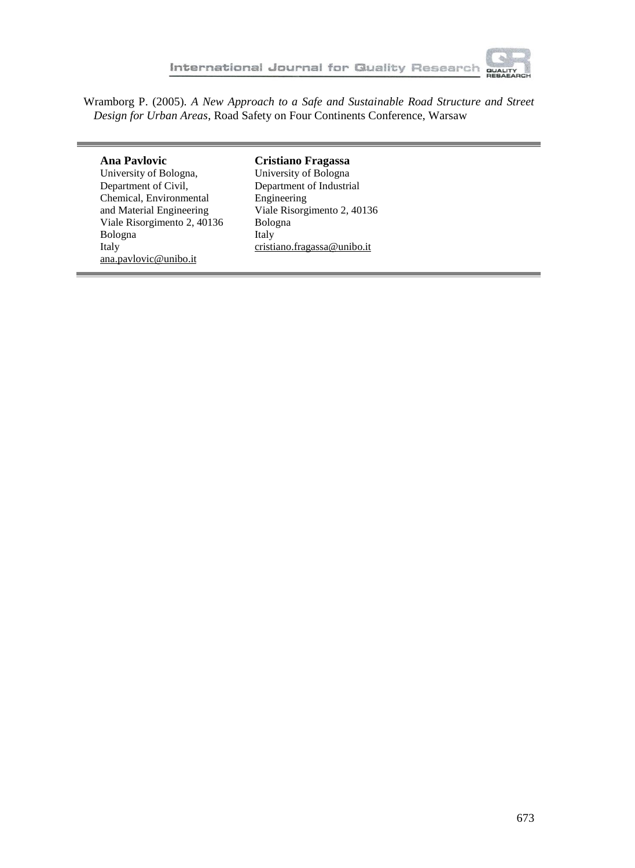

Wramborg P. (2005). *A New Approach to a Safe and Sustainable Road Structure and Street Design for Urban Areas*, Road Safety on Four Continents Conference, Warsaw

#### **Ana Pavlovic**

University of Bologna, Department of Civil, Chemical, Environmental and Material Engineering Viale Risorgimento 2, 40136 Bologna Italy [ana.pavlovic@unibo.it](mailto:ana.pavlovic@unibo.it)

#### **Cristiano Fragassa**

University of Bologna Department of Industrial Engineering Viale Risorgimento 2, 40136 Bologna Italy [cristiano.fragassa@unibo.it](mailto:cristiano.fragassa@unibo.it)